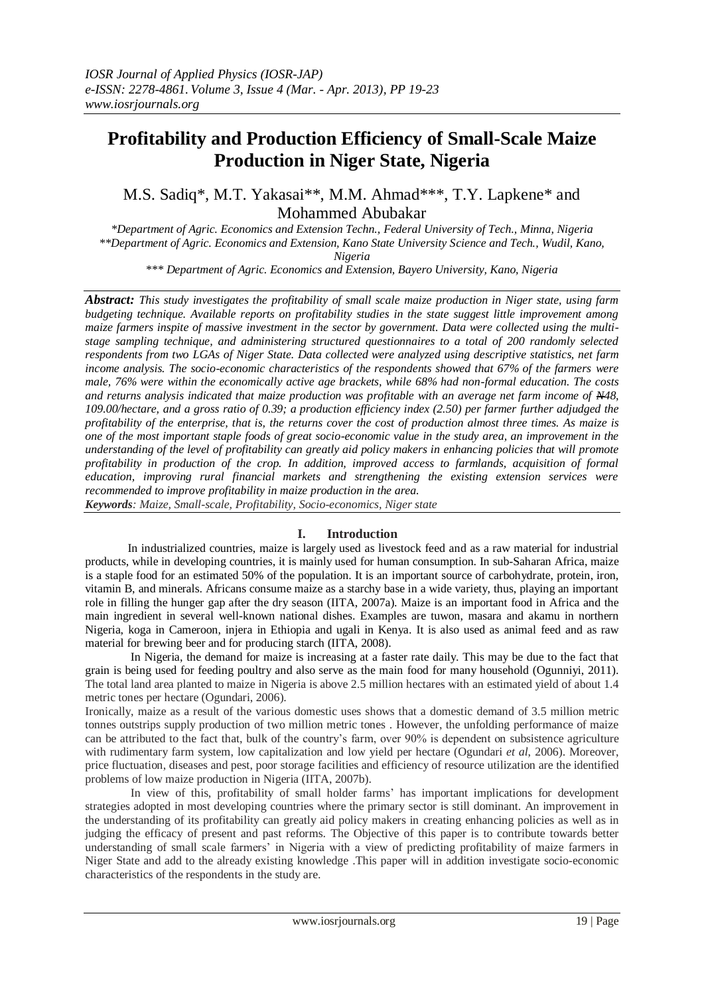# **Profitability and Production Efficiency of Small-Scale Maize Production in Niger State, Nigeria**

M.S. Sadiq\*, M.T. Yakasai\*\*, M.M. Ahmad\*\*\*, T.Y. Lapkene\* and Mohammed Abubakar

*\*Department of Agric. Economics and Extension Techn., Federal University of Tech., Minna, Nigeria \*\*Department of Agric. Economics and Extension, Kano State University Science and Tech., Wudil, Kano, Nigeria*

*\*\*\* Department of Agric. Economics and Extension, Bayero University, Kano, Nigeria*

*Abstract: This study investigates the profitability of small scale maize production in Niger state, using farm budgeting technique. Available reports on profitability studies in the state suggest little improvement among maize farmers inspite of massive investment in the sector by government. Data were collected using the multistage sampling technique, and administering structured questionnaires to a total of 200 randomly selected respondents from two LGAs of Niger State. Data collected were analyzed using descriptive statistics, net farm income analysis. The socio-economic characteristics of the respondents showed that 67% of the farmers were male, 76% were within the economically active age brackets, while 68% had non-formal education. The costs and returns analysis indicated that maize production was profitable with an average net farm income of N48, 109.00/hectare, and a gross ratio of 0.39; a production efficiency index (2.50) per farmer further adjudged the profitability of the enterprise, that is, the returns cover the cost of production almost three times. As maize is one of the most important staple foods of great socio-economic value in the study area, an improvement in the understanding of the level of profitability can greatly aid policy makers in enhancing policies that will promote profitability in production of the crop. In addition, improved access to farmlands, acquisition of formal education, improving rural financial markets and strengthening the existing extension services were recommended to improve profitability in maize production in the area.*

*Keywords: Maize, Small-scale, Profitability, Socio-economics, Niger state*

## **I. Introduction**

In industrialized countries, maize is largely used as livestock feed and as a raw material for industrial products, while in developing countries, it is mainly used for human consumption. In sub-Saharan Africa, maize is a staple food for an estimated 50% of the population. It is an important source of carbohydrate, protein, iron, vitamin B, and minerals. Africans consume maize as a starchy base in a wide variety, thus, playing an important role in filling the hunger gap after the dry season (IITA, 2007a). Maize is an important food in Africa and the main ingredient in several well-known national dishes. Examples are tuwon, masara and akamu in northern Nigeria, koga in Cameroon, injera in Ethiopia and ugali in Kenya. It is also used as animal feed and as raw material for brewing beer and for producing starch (IITA, 2008).

In Nigeria, the demand for maize is increasing at a faster rate daily. This may be due to the fact that grain is being used for feeding poultry and also serve as the main food for many household (Ogunniyi, 2011). The total land area planted to maize in Nigeria is above 2.5 million hectares with an estimated yield of about 1.4 metric tones per hectare (Ogundari, 2006).

Ironically, maize as a result of the various domestic uses shows that a domestic demand of 3.5 million metric tonnes outstrips supply production of two million metric tones . However, the unfolding performance of maize can be attributed to the fact that, bulk of the country"s farm, over 90% is dependent on subsistence agriculture with rudimentary farm system, low capitalization and low yield per hectare (Ogundari *et al*, 2006). Moreover, price fluctuation, diseases and pest, poor storage facilities and efficiency of resource utilization are the identified problems of low maize production in Nigeria (IITA, 2007b).

In view of this, profitability of small holder farms" has important implications for development strategies adopted in most developing countries where the primary sector is still dominant. An improvement in the understanding of its profitability can greatly aid policy makers in creating enhancing policies as well as in judging the efficacy of present and past reforms. The Objective of this paper is to contribute towards better understanding of small scale farmers" in Nigeria with a view of predicting profitability of maize farmers in Niger State and add to the already existing knowledge .This paper will in addition investigate socio-economic characteristics of the respondents in the study are.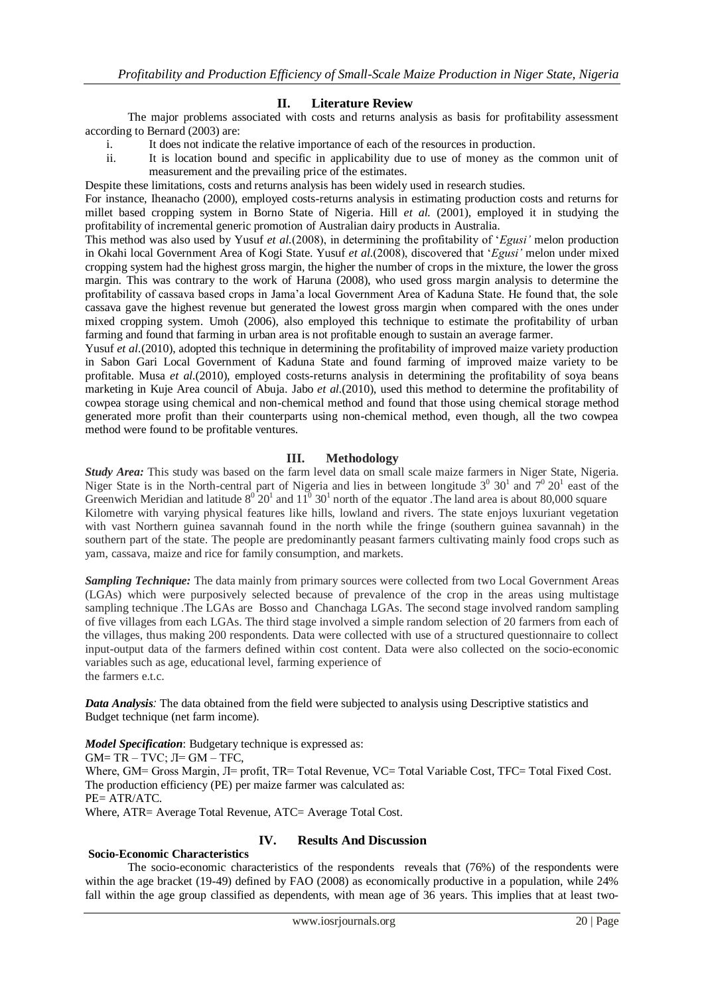### **II. Literature Review**

The major problems associated with costs and returns analysis as basis for profitability assessment according to Bernard (2003) are:

- i. It does not indicate the relative importance of each of the resources in production.
- ii. It is location bound and specific in applicability due to use of money as the common unit of measurement and the prevailing price of the estimates.

Despite these limitations, costs and returns analysis has been widely used in research studies.

For instance, Iheanacho (2000), employed costs-returns analysis in estimating production costs and returns for millet based cropping system in Borno State of Nigeria. Hill *et al.* (2001), employed it in studying the profitability of incremental generic promotion of Australian dairy products in Australia.

This method was also used by Yusuf *et al.*(2008), in determining the profitability of "*Egusi'* melon production in Okahi local Government Area of Kogi State. Yusuf *et al.*(2008), discovered that "*Egusi'* melon under mixed cropping system had the highest gross margin, the higher the number of crops in the mixture, the lower the gross margin. This was contrary to the work of Haruna (2008), who used gross margin analysis to determine the profitability of cassava based crops in Jama"a local Government Area of Kaduna State. He found that, the sole cassava gave the highest revenue but generated the lowest gross margin when compared with the ones under mixed cropping system. Umoh (2006), also employed this technique to estimate the profitability of urban farming and found that farming in urban area is not profitable enough to sustain an average farmer.

Yusuf *et al.*(2010), adopted this technique in determining the profitability of improved maize variety production in Sabon Gari Local Government of Kaduna State and found farming of improved maize variety to be profitable. Musa *et al.*(2010), employed costs-returns analysis in determining the profitability of soya beans marketing in Kuje Area council of Abuja. Jabo *et al.*(2010), used this method to determine the profitability of cowpea storage using chemical and non-chemical method and found that those using chemical storage method generated more profit than their counterparts using non-chemical method, even though, all the two cowpea method were found to be profitable ventures.

## **III. Methodology**

*Study Area:* This study was based on the farm level data on small scale maize farmers in Niger State, Nigeria. Niger State is in the North-central part of Nigeria and lies in between longitude  $3^0$   $30^1$  and  $7^0$   $20^1$  east of the Greenwich Meridian and latitude  $8^0$  20<sup>1</sup> and  $11^0$  30<sup>1</sup> north of the equator . The land area is about 80,000 square Kilometre with varying physical features like hills, lowland and rivers. The state enjoys luxuriant vegetation with vast Northern guinea savannah found in the north while the fringe (southern guinea savannah) in the southern part of the state. The people are predominantly peasant farmers cultivating mainly food crops such as yam, cassava, maize and rice for family consumption, and markets.

*Sampling Technique:* The data mainly from primary sources were collected from two Local Government Areas (LGAs) which were purposively selected because of prevalence of the crop in the areas using multistage sampling technique .The LGAs are Bosso and Chanchaga LGAs. The second stage involved random sampling of five villages from each LGAs. The third stage involved a simple random selection of 20 farmers from each of the villages, thus making 200 respondents. Data were collected with use of a structured questionnaire to collect input-output data of the farmers defined within cost content. Data were also collected on the socio-economic variables such as age, educational level, farming experience of the farmers e.t.c.

*Data Analysis:* The data obtained from the field were subjected to analysis using Descriptive statistics and Budget technique (net farm income).

*Model Specification*: Budgetary technique is expressed as:  $GM = TR - TVC$ ;  $JI = GM - TFC$ , Where, GM= Gross Margin, Л= profit, TR= Total Revenue, VC= Total Variable Cost, TFC= Total Fixed Cost. The production efficiency (PE) per maize farmer was calculated as: PE= ATR/ATC. Where, ATR= Average Total Revenue, ATC= Average Total Cost.

#### **Socio-Economic Characteristics**

## **IV. Results And Discussion**

The socio-economic characteristics of the respondents reveals that (76%) of the respondents were within the age bracket (19-49) defined by FAO (2008) as economically productive in a population, while 24% fall within the age group classified as dependents, with mean age of 36 years. This implies that at least two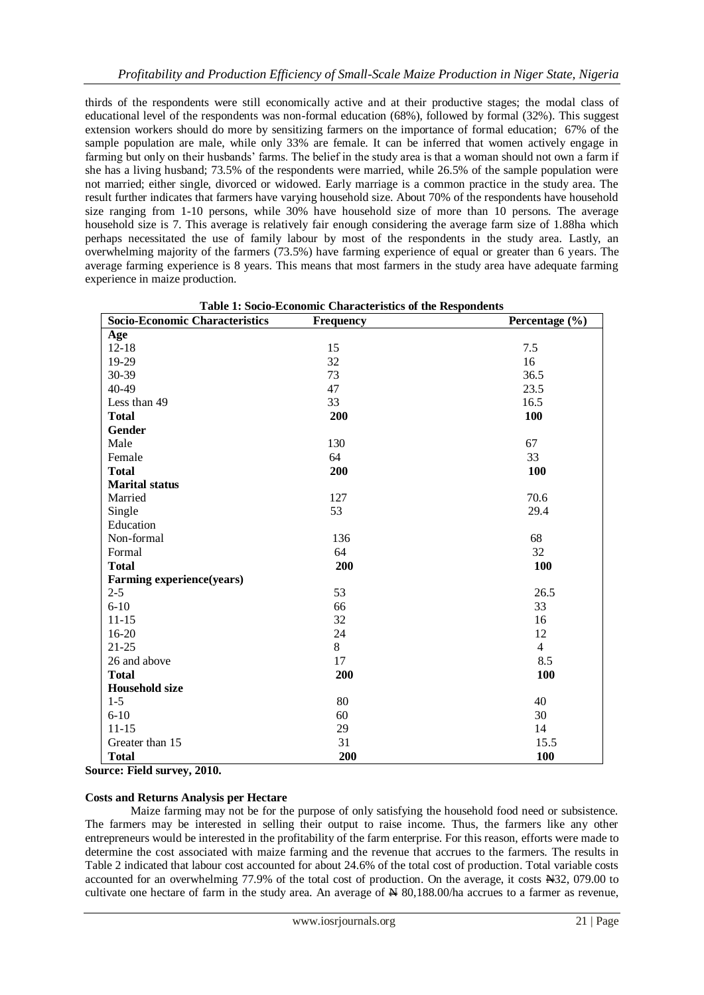thirds of the respondents were still economically active and at their productive stages; the modal class of educational level of the respondents was non-formal education (68%), followed by formal (32%). This suggest extension workers should do more by sensitizing farmers on the importance of formal education; 67% of the sample population are male, while only 33% are female. It can be inferred that women actively engage in farming but only on their husbands' farms. The belief in the study area is that a woman should not own a farm if she has a living husband; 73.5% of the respondents were married, while 26.5% of the sample population were not married; either single, divorced or widowed. Early marriage is a common practice in the study area. The result further indicates that farmers have varying household size. About 70% of the respondents have household size ranging from 1-10 persons, while 30% have household size of more than 10 persons. The average household size is 7. This average is relatively fair enough considering the average farm size of 1.88ha which perhaps necessitated the use of family labour by most of the respondents in the study area. Lastly, an overwhelming majority of the farmers (73.5%) have farming experience of equal or greater than 6 years. The average farming experience is 8 years. This means that most farmers in the study area have adequate farming experience in maize production.

| Table 1: Socio-Economic Characteristics of the Respondents |                  |                |  |  |
|------------------------------------------------------------|------------------|----------------|--|--|
| <b>Socio-Economic Characteristics</b>                      | <b>Frequency</b> | Percentage (%) |  |  |
| Age                                                        |                  |                |  |  |
| $12 - 18$                                                  | 15               | 7.5            |  |  |
| 19-29                                                      | 32               | 16             |  |  |
| 30-39                                                      | 73               | 36.5           |  |  |
| 40-49                                                      | 47               | 23.5           |  |  |
| Less than 49                                               | 33               | 16.5           |  |  |
| <b>Total</b>                                               | 200              | 100            |  |  |
| Gender                                                     |                  |                |  |  |
| Male                                                       | 130              | 67             |  |  |
| Female                                                     | 64               | 33             |  |  |
| <b>Total</b>                                               | 200              | <b>100</b>     |  |  |
| <b>Marital status</b>                                      |                  |                |  |  |
| Married                                                    | 127              | 70.6           |  |  |
| Single                                                     | 53               | 29.4           |  |  |
| Education                                                  |                  |                |  |  |
| Non-formal                                                 | 136              | 68             |  |  |
| Formal                                                     | 64               | 32             |  |  |
| <b>Total</b>                                               | 200              | 100            |  |  |
| <b>Farming experience(years)</b>                           |                  |                |  |  |
| $2 - 5$                                                    | 53               | 26.5           |  |  |
| $6 - 10$                                                   | 66               | 33             |  |  |
| $11 - 15$                                                  | 32               | 16             |  |  |
| 16-20                                                      | 24               | 12             |  |  |
| $21 - 25$                                                  | 8                | $\overline{4}$ |  |  |
| 26 and above                                               | 17               | 8.5            |  |  |
| <b>Total</b>                                               | 200              | 100            |  |  |
| <b>Household size</b>                                      |                  |                |  |  |
| $1 - 5$                                                    | 80               | 40             |  |  |
| $6 - 10$                                                   | 60               | 30             |  |  |
| $11 - 15$                                                  | 29               | 14             |  |  |
| Greater than 15                                            | 31               | 15.5           |  |  |
| <b>Total</b>                                               | 200              | 100            |  |  |

**Source: Field survey, 2010.**

#### **Costs and Returns Analysis per Hectare**

Maize farming may not be for the purpose of only satisfying the household food need or subsistence. The farmers may be interested in selling their output to raise income. Thus, the farmers like any other entrepreneurs would be interested in the profitability of the farm enterprise. For this reason, efforts were made to determine the cost associated with maize farming and the revenue that accrues to the farmers. The results in Table 2 indicated that labour cost accounted for about 24.6% of the total cost of production. Total variable costs accounted for an overwhelming 77.9% of the total cost of production. On the average, it costs N32, 079.00 to cultivate one hectare of farm in the study area. An average of  $\cancel{\text{H}}$  80,188.00/ha accrues to a farmer as revenue,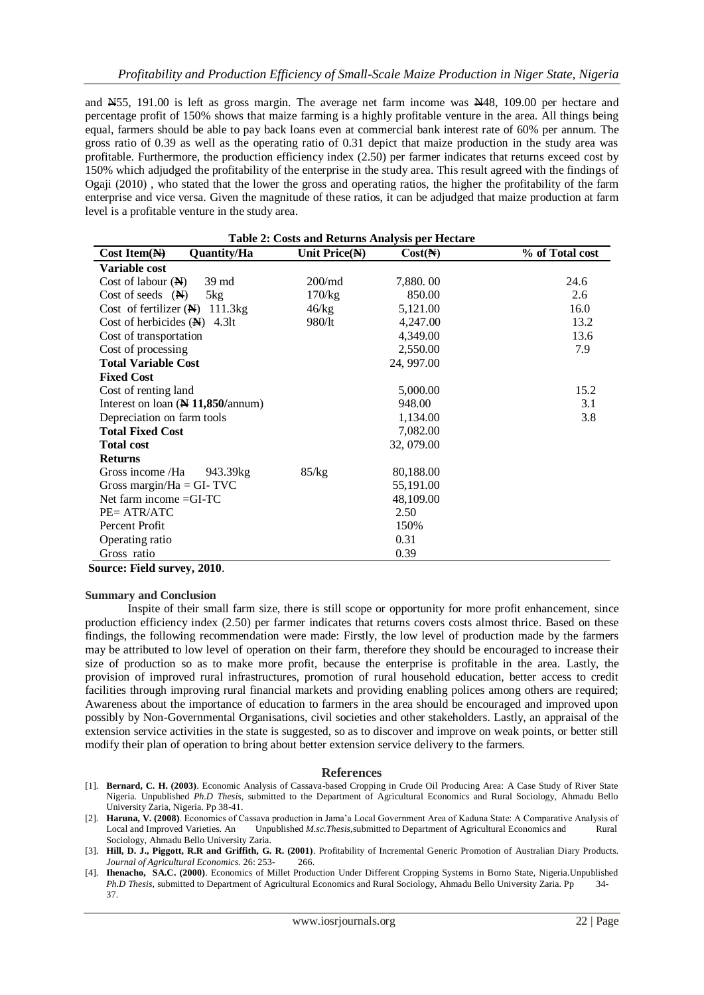and  $\text{\#55, 191.00}$  is left as gross margin. The average net farm income was  $\text{\#48, 109.00}$  per hectare and percentage profit of 150% shows that maize farming is a highly profitable venture in the area. All things being equal, farmers should be able to pay back loans even at commercial bank interest rate of 60% per annum. The gross ratio of 0.39 as well as the operating ratio of 0.31 depict that maize production in the study area was profitable. Furthermore, the production efficiency index (2.50) per farmer indicates that returns exceed cost by 150% which adjudged the profitability of the enterprise in the study area. This result agreed with the findings of Ogaji (2010) , who stated that the lower the gross and operating ratios, the higher the profitability of the farm enterprise and vice versa. Given the magnitude of these ratios, it can be adjudged that maize production at farm level is a profitable venture in the study area.

| <b>Table 2: Costs and Returns Analysis per Hectare</b> |               |                  |                 |  |
|--------------------------------------------------------|---------------|------------------|-----------------|--|
| Quantity/Ha<br>$Cost Item(\overline{N})$               | Unit Price(N) | Cost( <b>A</b> ) | % of Total cost |  |
| Variable cost                                          |               |                  |                 |  |
| Cost of labour $(N)$<br>39 md                          | $200$ /md     | 7,880.00         | 24.6            |  |
| Cost of seeds $(\mathbf{N})$<br>5kg                    | 170/kg        | 850.00           | 2.6             |  |
| Cost of fertilizer $(\mathbb{N})$ 111.3kg              | 46/kg         | 5,121.00         | 16.0            |  |
| Cost of herbicides $(N)$ 4.3lt                         | 980/lt        | 4,247.00         | 13.2            |  |
| Cost of transportation                                 |               | 4,349.00         | 13.6            |  |
| Cost of processing                                     |               | 2,550.00         | 7.9             |  |
| <b>Total Variable Cost</b>                             |               | 24, 997.00       |                 |  |
| <b>Fixed Cost</b>                                      |               |                  |                 |  |
| Cost of renting land                                   |               | 5,000.00         | 15.2            |  |
| Interest on loan (N 11,850/annum)                      |               | 948.00           | 3.1             |  |
| Depreciation on farm tools                             |               | 1,134.00         | 3.8             |  |
| <b>Total Fixed Cost</b>                                |               | 7,082.00         |                 |  |
| <b>Total cost</b>                                      |               | 32, 079.00       |                 |  |
| <b>Returns</b>                                         |               |                  |                 |  |
| Gross income /Ha<br>943.39kg                           | 85/kg         | 80,188.00        |                 |  |
| Gross margin/Ha = GI- $TVC$                            |               | 55,191.00        |                 |  |
| Net farm income $=GI-TC$                               |               | 48,109.00        |                 |  |
| PE= ATR/ATC                                            |               | 2.50             |                 |  |
| Percent Profit                                         |               | 150%             |                 |  |
| Operating ratio                                        |               | 0.31             |                 |  |
| Gross ratio                                            |               | 0.39             |                 |  |

**Source: Field survey, 2010**.

#### **Summary and Conclusion**

Inspite of their small farm size, there is still scope or opportunity for more profit enhancement, since production efficiency index (2.50) per farmer indicates that returns covers costs almost thrice. Based on these findings, the following recommendation were made: Firstly, the low level of production made by the farmers may be attributed to low level of operation on their farm, therefore they should be encouraged to increase their size of production so as to make more profit, because the enterprise is profitable in the area. Lastly, the provision of improved rural infrastructures, promotion of rural household education, better access to credit facilities through improving rural financial markets and providing enabling polices among others are required; Awareness about the importance of education to farmers in the area should be encouraged and improved upon possibly by Non-Governmental Organisations, civil societies and other stakeholders. Lastly, an appraisal of the extension service activities in the state is suggested, so as to discover and improve on weak points, or better still modify their plan of operation to bring about better extension service delivery to the farmers.

#### **References**

- [1]. **Bernard, C. H. (2003)**. Economic Analysis of Cassava-based Cropping in Crude Oil Producing Area: A Case Study of River State Nigeria. Unpublished *Ph.D Thesis,* submitted to the Department of Agricultural Economics and Rural Sociology, Ahmadu Bello University Zaria, Nigeria. Pp 38-41.
- [2]. **Haruna, V. (2008)**. Economics of Cassava production in Jama"a Local Government Area of Kaduna State: A Comparative Analysis of Local and Improved Varieties. An Unpublished *M.sc.Thesis,*submitted to Department of Agricultural Economics and Rural Sociology, Ahmadu Bello University Zaria.
- [3]. **Hill, D. J., Piggott, R.R and Griffith, G. R. (2001)**. Profitability of Incremental Generic Promotion of Australian Diary Products. *Journal of Agricultural Economics.* 26: 253- 266.
- [4]. **Ihenacho, SA.C. (2000)**. Economics of Millet Production Under Different Cropping Systems in Borno State, Nigeria.Unpublished *Ph.D Thesis,* submitted to Department of Agricultural Economics and Rural Sociology, Ahmadu Bello University Zaria. Pp 34- 37.